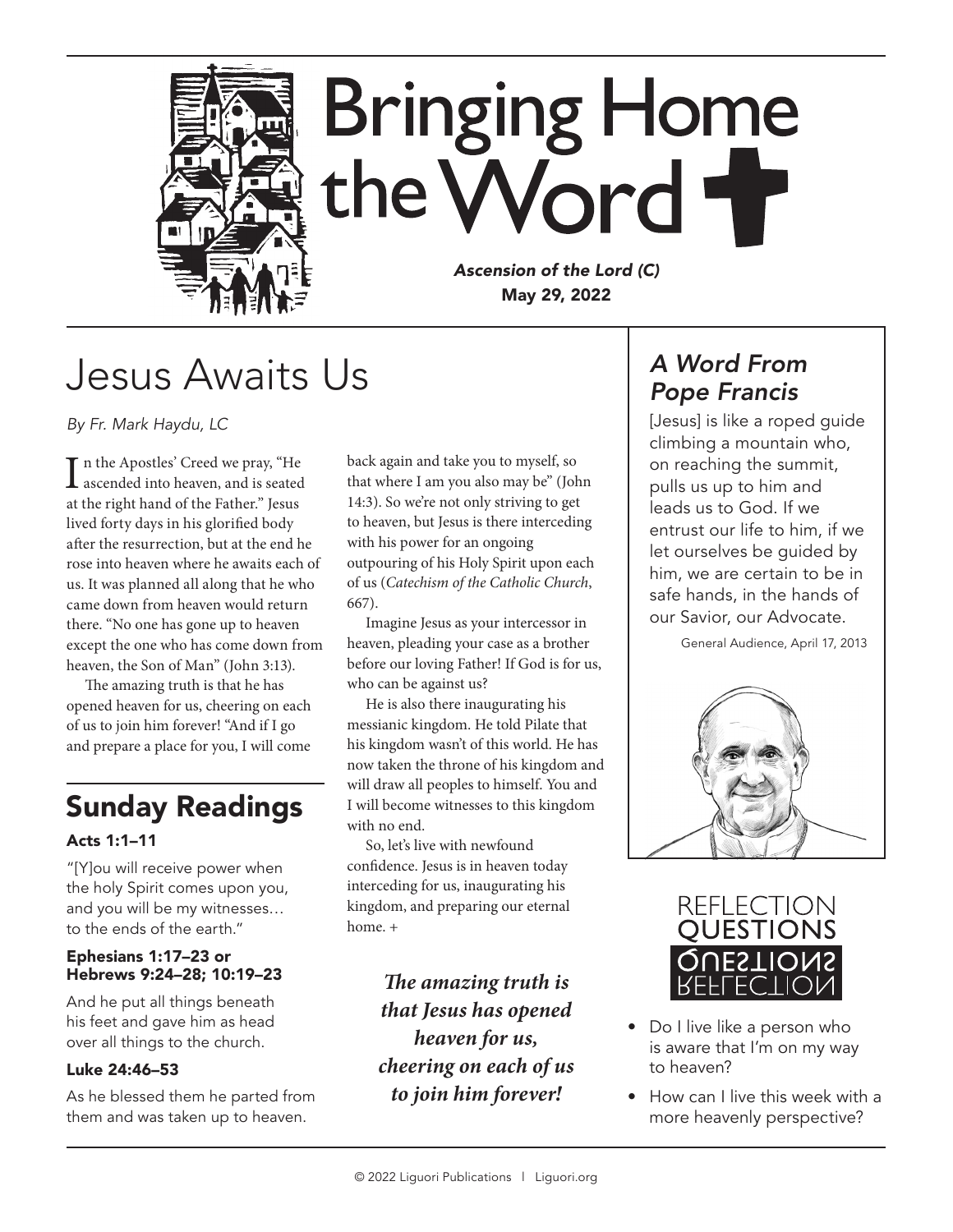

## Jesus Awaits Us

*By Fr. Mark Haydu, LC*

In the Apostles' Creed we pray, "He<br>ascended into heaven, and is seated n the Apostles' Creed we pray, "He at the right hand of the Father." Jesus lived forty days in his glorified body after the resurrection, but at the end he rose into heaven where he awaits each of us. It was planned all along that he who came down from heaven would return there. "No one has gone up to heaven except the one who has come down from heaven, the Son of Man" (John 3:13).

The amazing truth is that he has opened heaven for us, cheering on each of us to join him forever! "And if I go and prepare a place for you, I will come

## Sunday Readings

#### Acts 1:1–11

"[Y]ou will receive power when the holy Spirit comes upon you, and you will be my witnesses… to the ends of the earth."

#### Ephesians 1:17–23 or Hebrews 9:24–28; 10:19–23

And he put all things beneath his feet and gave him as head over all things to the church.

#### Luke 24:46–53

As he blessed them he parted from them and was taken up to heaven.

back again and take you to myself, so that where I am you also may be" (John 14:3). So we're not only striving to get to heaven, but Jesus is there interceding with his power for an ongoing outpouring of his Holy Spirit upon each of us (*Catechism of the Catholic Church*, 667).

Imagine Jesus as your intercessor in heaven, pleading your case as a brother before our loving Father! If God is for us, who can be against us?

He is also there inaugurating his messianic kingdom. He told Pilate that his kingdom wasn't of this world. He has now taken the throne of his kingdom and will draw all peoples to himself. You and I will become witnesses to this kingdom with no end.

So, let's live with newfound confidence. Jesus is in heaven today interceding for us, inaugurating his kingdom, and preparing our eternal home. +

> *The amazing truth is that Jesus has opened heaven for us, cheering on each of us to join him forever!*

### *A Word From Pope Francis*

[Jesus] is like a roped quide climbing a mountain who, on reaching the summit, pulls us up to him and leads us to God. If we entrust our life to him, if we let ourselves be guided by him, we are certain to be in safe hands, in the hands of our Savior, our Advocate.

General Audience, April 17, 2013





- Do I live like a person who is aware that I'm on my way to heaven?
- How can I live this week with a more heavenly perspective?